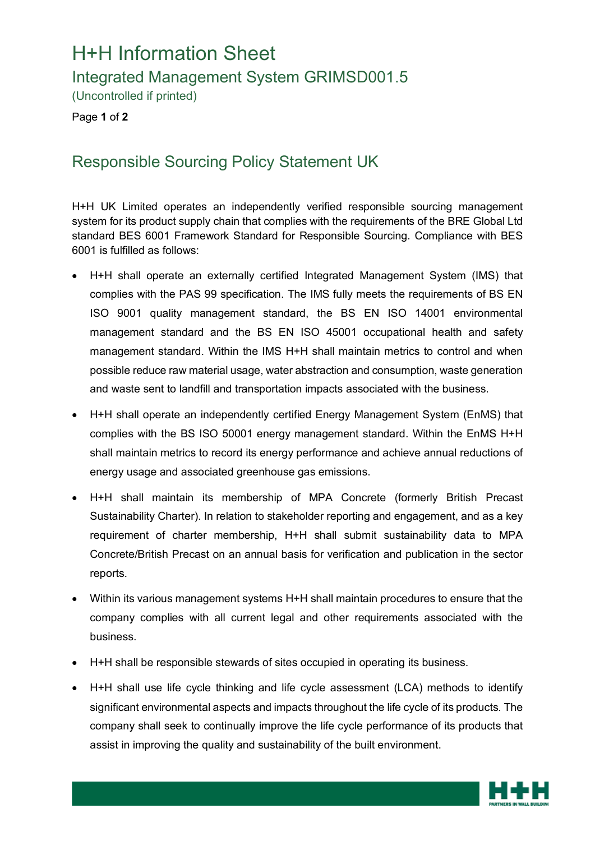## H+H Information Sheet

Integrated Management System GRIMSD001.5

(Uncontrolled if printed)

Page **1** of **2**

## Responsible Sourcing Policy Statement UK

H+H UK Limited operates an independently verified responsible sourcing management system for its product supply chain that complies with the requirements of the BRE Global Ltd standard BES 6001 Framework Standard for Responsible Sourcing. Compliance with BES 6001 is fulfilled as follows:

- H+H shall operate an externally certified Integrated Management System (IMS) that complies with the PAS 99 specification. The IMS fully meets the requirements of BS EN ISO 9001 quality management standard, the BS EN ISO 14001 environmental management standard and the BS EN ISO 45001 occupational health and safety management standard. Within the IMS H+H shall maintain metrics to control and when possible reduce raw material usage, water abstraction and consumption, waste generation and waste sent to landfill and transportation impacts associated with the business.
- H+H shall operate an independently certified Energy Management System (EnMS) that complies with the BS ISO 50001 energy management standard. Within the EnMS H+H shall maintain metrics to record its energy performance and achieve annual reductions of energy usage and associated greenhouse gas emissions.
- H+H shall maintain its membership of MPA Concrete (formerly British Precast Sustainability Charter). In relation to stakeholder reporting and engagement, and as a key requirement of charter membership, H+H shall submit sustainability data to MPA Concrete/British Precast on an annual basis for verification and publication in the sector reports.
- Within its various management systems H+H shall maintain procedures to ensure that the company complies with all current legal and other requirements associated with the business.
- H+H shall be responsible stewards of sites occupied in operating its business.
- H+H shall use life cycle thinking and life cycle assessment (LCA) methods to identify significant environmental aspects and impacts throughout the life cycle of its products. The company shall seek to continually improve the life cycle performance of its products that assist in improving the quality and sustainability of the built environment.